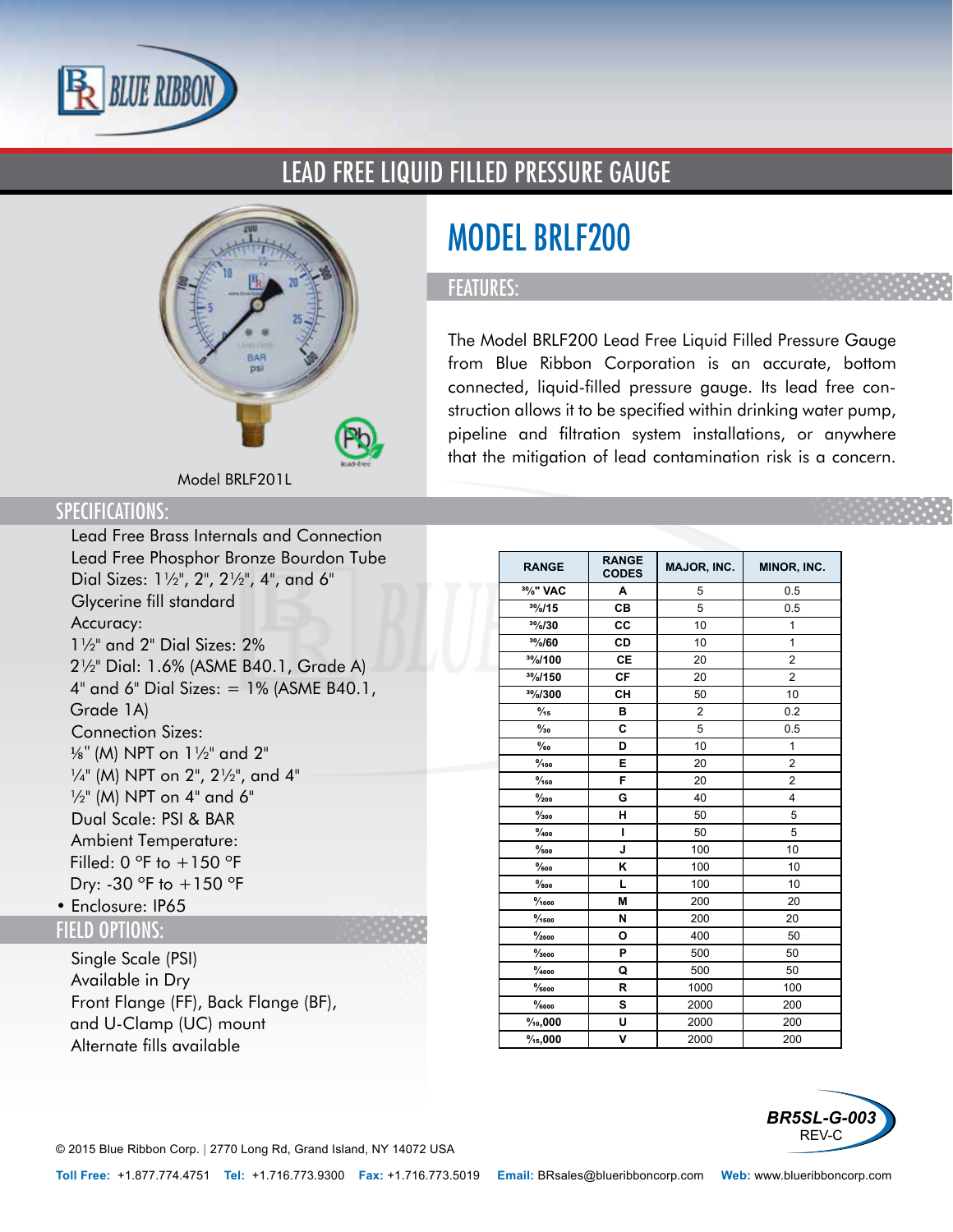

### LEAD FREE LIQUID FILLED PRESSURE GAUGE



# MODEL BRLF200

#### FEATURES:

The Model BRLF200 Lead Free Liquid Filled Pressure Gauge from Blue Ribbon Corporation is an accurate, bottom connected, liquid-filled pressure gauge. Its lead free construction allows it to be specified within drinking water pump, pipeline and filtration system installations, or anywhere that the mitigation of lead contamination risk is a concern.

Model BRLF201L

#### SPECIFICATIONS:

- Lead Free Brass Internals and Connection
- Lead Free Phosphor Bronze Bourdon Tube
- Dial Sizes: 1½", 2", 2½", 4", and 6"
- Glycerine fill standard
- Accuracy:
- 1½" and 2" Dial Sizes: 2% 2½" Dial: 1.6% (ASME B40.1, Grade A) 4" and 6" Dial Sizes: = 1% (ASME B40.1, Grade 1A)
- Connection Sizes: 1/8" (M) NPT on 1½" and 2" ¼" (M) NPT on 2", 2½", and 4"  $\frac{1}{2}$ " (M) NPT on 4" and 6"
- Dual Scale: PSI & BAR
- Ambient Temperature: Filled: 0  $\degree$ F to +150  $\degree$ F Dry: -30  $\degree$ F to  $+150 \degree$ F
- Enclosure: IP65

#### FIELD OPTIONS:

- Single Scale (PSI)
- Available in Dry
- Front Flange (FF), Back Flange (BF), and U-Clamp (UC) mount
- Alternate fills available

| <b>RANGE</b>           | <b>RANGE</b><br><b>CODES</b> | <b>MAJOR, INC.</b> | MINOR, INC.    |
|------------------------|------------------------------|--------------------|----------------|
| 3%" VAC                | A                            | 5                  | 0.5            |
| 30/0/15                | CВ                           | 5                  | 0.5            |
| 30/0/30                | CC                           | 10                 | $\overline{1}$ |
| 30/60                  | <b>CD</b>                    | 10                 | $\mathbf{1}$   |
| 30/100                 | СE                           | 20                 | $\overline{2}$ |
| 30/0/150               | <b>CF</b>                    | 20                 | $\overline{2}$ |
| 30/0/300               | CH                           | 50                 | 10             |
| $\frac{0}{15}$         | в                            | $\overline{2}$     | 0.2            |
| $\frac{0}{30}$         | C                            | 5                  | 0.5            |
| $\%$ o                 | D                            | 10                 | 1              |
| $\frac{9}{100}$        | Е                            | 20                 | $\overline{2}$ |
| $\frac{9}{160}$        | F                            | 20                 | $\overline{2}$ |
| $\frac{9}{200}$        | G                            | 40                 | 4              |
| $\frac{9}{300}$        | н                            | 50                 | 5              |
| $\frac{0}{400}$        | T                            | 50                 | 5              |
| $\frac{9}{500}$        | J                            | 100                | 10             |
| $\%$ oo                | Κ                            | 100                | 10             |
| $\%$ 00                | L                            | 100                | 10             |
| $\frac{9}{1000}$       | M                            | 200                | 20             |
| $\frac{9}{1500}$       | N                            | 200                | 20             |
| $\frac{9}{2000}$       | O                            | 400                | 50             |
| $\frac{9}{3000}$       | P                            | 500                | 50             |
| $\frac{9}{4000}$       | Q                            | 500                | 50             |
| $\frac{9}{5000}$       | R                            | 1000               | 100            |
| $\%$ 000               | s                            | 2000               | 200            |
| $\%$ <sub>0</sub> ,000 | U                            | 2000               | 200            |
| $\frac{9}{15}$ ,000    | v                            | 2000               | 200            |



© 2015 Blue Ribbon Corp. *<sup>|</sup>* 2770 Long Rd, Grand Island, NY 14072 USA